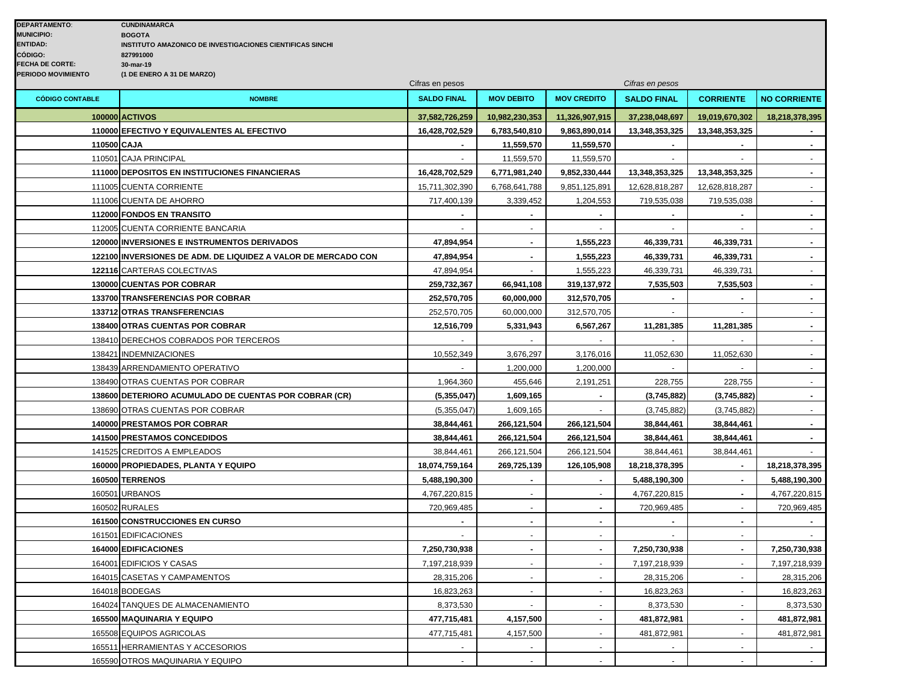|                        | Cifras en pesos                                               |                    |                   | Cifras en pesos    |                    |                  |                     |
|------------------------|---------------------------------------------------------------|--------------------|-------------------|--------------------|--------------------|------------------|---------------------|
| <b>CÓDIGO CONTABLE</b> | <b>NOMBRE</b>                                                 | <b>SALDO FINAL</b> | <b>MOV DEBITO</b> | <b>MOV CREDITO</b> | <b>SALDO FINAL</b> | <b>CORRIENTE</b> | <b>NO CORRIENTE</b> |
|                        | <b>100000 ACTIVOS</b>                                         | 37,582,726,259     | 10,982,230,353    | 11,326,907,915     | 37,238,048,697     | 19,019,670,302   | 18,218,378,395      |
|                        | 110000 EFECTIVO Y EQUIVALENTES AL EFECTIVO                    | 16,428,702,529     | 6,783,540,810     | 9,863,890,014      | 13,348,353,325     | 13,348,353,325   | $\sim$              |
| 110500 CAJA            |                                                               |                    | 11,559,570        | 11,559,570         |                    |                  | $\sim$              |
|                        | 110501 CAJA PRINCIPAL                                         |                    | 11,559,570        | 11,559,570         |                    |                  |                     |
|                        | 111000 DEPOSITOS EN INSTITUCIONES FINANCIERAS                 | 16,428,702,529     | 6,771,981,240     | 9,852,330,444      | 13,348,353,325     | 13,348,353,325   | $\blacksquare$      |
|                        | 111005 CUENTA CORRIENTE                                       | 15,711,302,390     | 6,768,641,788     | 9,851,125,891      | 12,628,818,287     | 12,628,818,287   | $\sim$              |
|                        | 111006 CUENTA DE AHORRO                                       | 717,400,139        | 3,339,452         | 1,204,553          | 719,535,038        | 719,535,038      | $\sim$              |
|                        | 112000 FONDOS EN TRANSITO                                     |                    |                   | $\mathbf{r}$       |                    |                  | $\blacksquare$      |
|                        | 112005 CUENTA CORRIENTE BANCARIA                              |                    |                   |                    |                    |                  |                     |
|                        | <b>120000 INVERSIONES E INSTRUMENTOS DERIVADOS</b>            | 47,894,954         | $\overline{a}$    | 1,555,223          | 46,339,731         | 46,339,731       | $\blacksquare$      |
|                        | 122100 INVERSIONES DE ADM. DE LIQUIDEZ A VALOR DE MERCADO CON | 47,894,954         | $\blacksquare$    | 1,555,223          | 46,339,731         | 46,339,731       | $\sim$              |
|                        | 122116 CARTERAS COLECTIVAS                                    | 47,894,954         |                   | 1,555,223          | 46,339,731         | 46,339,731       |                     |
|                        | 130000 CUENTAS POR COBRAR                                     | 259,732,367        | 66,941,108        | 319,137,972        | 7,535,503          | 7,535,503        | $\blacksquare$      |
|                        | 133700 TRANSFERENCIAS POR COBRAR                              | 252,570,705        | 60,000,000        | 312,570,705        |                    |                  |                     |
|                        | 133712 OTRAS TRANSFERENCIAS                                   | 252,570,705        | 60,000,000        | 312,570,705        | $\sim$             | $\omega$         | $\sim$              |
|                        | 138400 OTRAS CUENTAS POR COBRAR                               | 12,516,709         | 5,331,943         | 6,567,267          | 11,281,385         | 11,281,385       |                     |
|                        | 138410 DERECHOS COBRADOS POR TERCEROS                         |                    |                   |                    |                    |                  | $\sim$              |
|                        | 138421 INDEMNIZACIONES                                        | 10,552,349         | 3,676,297         | 3,176,016          | 11,052,630         | 11,052,630       |                     |
|                        | 138439 ARRENDAMIENTO OPERATIVO                                | $\mathbf{r}$       | 1,200,000         | 1,200,000          |                    | $\mathbf{r}$     | $\sim$              |
|                        | 138490 OTRAS CUENTAS POR COBRAR                               | 1,964,360          | 455,646           | 2,191,251          | 228,755            | 228,755          | $\sim$              |
|                        | 138600 DETERIORO ACUMULADO DE CUENTAS POR COBRAR (CR)         | (5,355,047)        | 1,609,165         | $\sim$             | (3,745,882)        | (3,745,882)      | $\sim$              |
|                        | 138690 OTRAS CUENTAS POR COBRAR                               | (5,355,047)        | 1,609,165         |                    | (3,745,882)        | (3,745,882)      |                     |
|                        | <b>140000 PRESTAMOS POR COBRAR</b>                            | 38,844,461         | 266,121,504       | 266,121,504        | 38,844,461         | 38,844,461       |                     |
|                        | <b>141500 PRESTAMOS CONCEDIDOS</b>                            | 38,844,461         | 266,121,504       | 266,121,504        | 38,844,461         | 38,844,461       | $\sim$              |
|                        | 141525 CREDITOS A EMPLEADOS                                   | 38,844,461         | 266,121,504       | 266,121,504        | 38,844,461         | 38,844,461       |                     |
|                        | 160000 PROPIEDADES, PLANTA Y EQUIPO                           | 18,074,759,164     | 269,725,139       | 126,105,908        | 18,218,378,395     |                  | 18,218,378,395      |
|                        | 160500 TERRENOS                                               | 5,488,190,300      |                   | $\sim$             | 5,488,190,300      |                  | 5,488,190,300       |
|                        | 160501 URBANOS                                                | 4,767,220,815      | $\blacksquare$    | $\sim$             | 4,767,220,815      | $\sim$           | 4,767,220,815       |
|                        | 160502 RURALES                                                | 720,969,485        |                   |                    | 720,969,485        |                  | 720,969,485         |
|                        | <b>161500 CONSTRUCCIONES EN CURSO</b>                         |                    | Ĭ.                | $\blacksquare$     |                    |                  | $\blacksquare$      |
|                        | 161501 EDIFICACIONES                                          |                    |                   | $\blacksquare$     |                    |                  |                     |
|                        | 164000 EDIFICACIONES                                          | 7,250,730,938      | $\blacksquare$    | $\sim$             | 7,250,730,938      | $\sim$           | 7,250,730,938       |
|                        | 164001 EDIFICIOS Y CASAS                                      | 7,197,218,939      | $\mathbf{r}$      | $\sim$             | 7,197,218,939      | $\sim$           | 7,197,218,939       |
|                        | 164015 CASETAS Y CAMPAMENTOS                                  | 28,315,206         | $\overline{a}$    | $\sim$             | 28,315,206         |                  | 28,315,206          |
|                        | 164018 BODEGAS                                                | 16,823,263         | $\blacksquare$    | $\omega$           | 16,823,263         |                  | 16,823,263          |
|                        | 164024 TANQUES DE ALMACENAMIENTO                              | 8,373,530          | $\mathbf{r}$      | $\sim$             | 8,373,530          | $\mathbf{r}$     | 8,373,530           |
|                        | 165500 MAQUINARIA Y EQUIPO                                    | 477,715,481        | 4,157,500         | $\blacksquare$     | 481,872,981        | $\sim$           | 481,872,981         |
|                        | 165508 EQUIPOS AGRICOLAS                                      | 477,715,481        | 4,157,500         | $\omega$           | 481,872,981        |                  | 481,872,981         |
|                        | 165511 HERRAMIENTAS Y ACCESORIOS                              |                    |                   |                    |                    |                  |                     |
|                        | 165590 OTROS MAQUINARIA Y EQUIPO                              |                    |                   |                    |                    |                  |                     |
|                        |                                                               |                    |                   |                    |                    |                  |                     |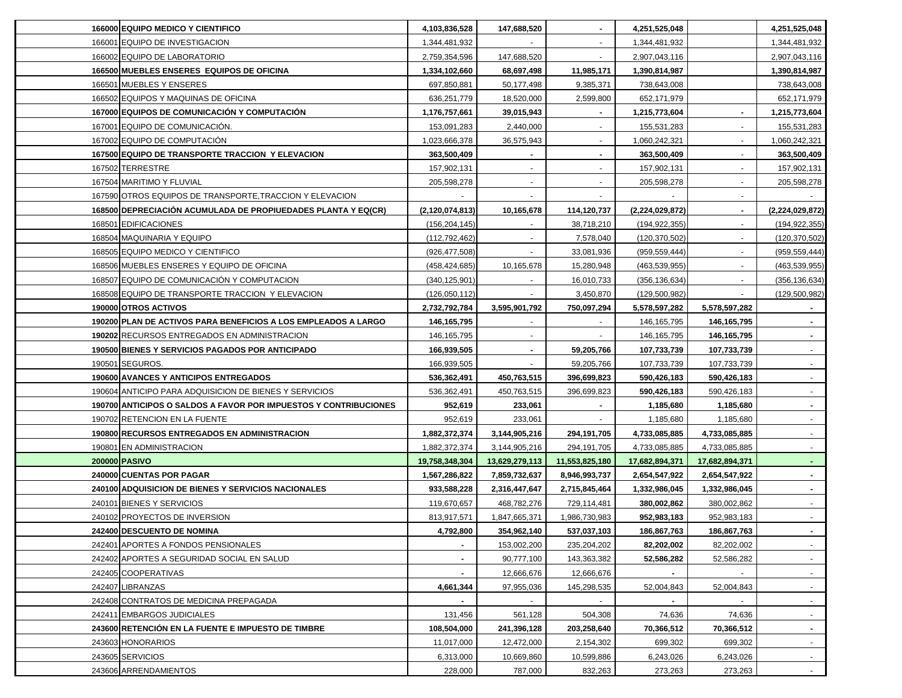| 166000 EQUIPO MEDICO Y CIENTIFICO                                | 4,103,836,528      | 147,688,520    | $\sim$                    | 4,251,525,048   |                | 4,251,525,048   |
|------------------------------------------------------------------|--------------------|----------------|---------------------------|-----------------|----------------|-----------------|
| 166001 EQUIPO DE INVESTIGACION                                   | 1,344,481,932      |                | $\sim$                    | 1,344,481,932   |                | 1,344,481,932   |
| 166002 EQUIPO DE LABORATORIO                                     | 2,759,354,596      | 147,688,520    | $\sim$                    | 2,907,043,116   |                | 2,907,043,116   |
| 166500 MUEBLES ENSERES EQUIPOS DE OFICINA                        | 1,334,102,660      | 68,697,498     | 11,985,171                | 1,390,814,987   |                | 1,390,814,987   |
| 166501 MUEBLES Y ENSERES                                         | 697,850,881        | 50,177,498     | 9,385,371                 | 738,643,008     |                | 738,643,008     |
| 166502 EQUIPOS Y MAQUINAS DE OFICINA                             | 636,251,779        | 18,520,000     | 2,599,800                 | 652,171,979     |                | 652,171,979     |
| 167000 EQUIPOS DE COMUNICACIÓN Y COMPUTACIÓN                     | 1,176,757,661      | 39,015,943     |                           | 1,215,773,604   |                | 1,215,773,604   |
| 167001 EQUIPO DE COMUNICACIÓN.                                   | 153,091,283        | 2,440,000      |                           | 155,531,283     |                | 155,531,283     |
| 167002 EQUIPO DE COMPUTACIÓN                                     | 1,023,666,378      | 36,575,943     |                           | 1,060,242,321   |                | 1,060,242,321   |
| 167500 EQUIPO DE TRANSPORTE TRACCION Y ELEVACION                 | 363,500,409        |                |                           | 363,500,409     |                | 363,500,409     |
| 167502 TERRESTRE                                                 | 157,902,131        |                |                           | 157,902,131     |                | 157,902,131     |
| 167504 MARITIMO Y FLUVIAL                                        | 205,598,278        |                |                           | 205,598,278     |                | 205,598,278     |
| 167590 OTROS EQUIPOS DE TRANSPORTE, TRACCION Y ELEVACION         |                    |                |                           |                 |                |                 |
| 168500 DEPRECIACIÓN ACUMULADA DE PROPIUEDADES PLANTA Y EQ(CR)    | (2, 120, 074, 813) | 10,165,678     | 114,120,737               | (2,224,029,872) |                | (2,224,029,872) |
| 168501 EDIFICACIONES                                             | (156, 204, 145)    |                | 38,718,210                | (194, 922, 355) |                | (194, 922, 355) |
| 168504 MAQUINARIA Y EQUIPO                                       | (112, 792, 462)    |                | 7,578,040                 | (120, 370, 502) |                | (120, 370, 502) |
| 168505 EQUIPO MEDICO Y CIENTIFICO                                | (926,477,508)      |                | 33,081,936                | (959, 559, 444) |                | (959, 559, 444) |
| 168506 MUEBLES ENSERES Y EQUIPO DE OFICINA                       | (458,424,685)      | 10,165,678     | 15,280,948                | (463, 539, 955) |                | (463,539,955)   |
| 168507 EQUIPO DE COMUNICACIÓN Y COMPUTACION                      | (340,125,901)      |                | 16,010,733                | (356, 136, 634) |                | (356, 136, 634) |
| 168508 EQUIPO DE TRANSPORTE TRACCION Y ELEVACION                 | (126,050,112)      |                | 3,450,870                 | (129, 500, 982) |                | (129, 500, 982) |
| 190000 OTROS ACTIVOS                                             | 2,732,792,784      | 3,595,901,792  | 750,097,294               | 5,578,597,282   | 5,578,597,282  |                 |
| 190200 PLAN DE ACTIVOS PARA BENEFICIOS A LOS EMPLEADOS A LARGO   | 146,165,795        |                |                           | 146, 165, 795   | 146,165,795    |                 |
| 190202 RECURSOS ENTREGADOS EN ADMINISTRACION                     | 146, 165, 795      |                |                           | 146, 165, 795   | 146,165,795    |                 |
| 190500 BIENES Y SERVICIOS PAGADOS POR ANTICIPADO                 | 166,939,505        | $\blacksquare$ | 59,205,766                | 107,733,739     | 107,733,739    |                 |
| 190501 SEGUROS.                                                  | 166,939,505        |                | 59,205,766                | 107,733,739     | 107,733,739    |                 |
| <b>190600 AVANCES Y ANTICIPOS ENTREGADOS</b>                     | 536,362,491        | 450,763,515    | 396,699,823               | 590,426,183     | 590,426,183    | $\sim$          |
| 190604 ANTICIPO PARA ADQUISICION DE BIENES Y SERVICIOS           | 536,362,491        | 450,763,515    | 396,699,823               | 590,426,183     | 590,426,183    | $\sim$          |
| 190700 ANTICIPOS O SALDOS A FAVOR POR IMPUESTOS Y CONTRIBUCIONES | 952,619            | 233,061        |                           | 1,185,680       | 1,185,680      | $\sim$          |
| 190702 RETENCION EN LA FUENTE                                    | 952,619            | 233,061        |                           | 1,185,680       | 1,185,680      | $\sim$          |
| 190800 RECURSOS ENTREGADOS EN ADMINISTRACION                     | 1,882,372,374      | 3,144,905,216  | 294,191,705               | 4,733,085,885   | 4,733,085,885  | $\sim$          |
| 190801 EN ADMINISTRACION                                         | 1,882,372,374      | 3,144,905,216  | 294,191,705               | 4,733,085,885   | 4,733,085,885  |                 |
| 200000 PASIVO                                                    | 19,758,348,304     | 13,629,279,113 | 11,553,825,180            | 17,682,894,371  | 17,682,894,371 |                 |
| 240000 CUENTAS POR PAGAR                                         | 1,567,286,822      | 7,859,732,637  | 8,946,993,737             | 2,654,547,922   | 2,654,547,922  |                 |
| 240100 ADQUISICION DE BIENES Y SERVICIOS NACIONALES              | 933,588,228        | 2,316,447,647  | 2,715,845,464             | 1,332,986,045   | 1,332,986,045  |                 |
| 240101 BIENES Y SERVICIOS                                        | 119,670,657        | 468,782,276    | 729,114,481               | 380,002,862     | 380,002,862    |                 |
| 240102 PROYECTOS DE INVERSION                                    | 813,917,571        | 1,847,665,371  | 1,986,730,983             | 952,983,183     | 952,983,183    |                 |
| 242400 DESCUENTO DE NOMINA                                       | 4,792,800          | 354,962,140    | 537,037,103               | 186,867,763     | 186,867,763    | $\sim$          |
| 242401 APORTES A FONDOS PENSIONALES                              |                    | 153,002,200    | 235,204,202               | 82,202,002      | 82,202,002     | $\sim$          |
| 242402 APORTES A SEGURIDAD SOCIAL EN SALUD                       | $\sim$             | 90,777,100     | 143,363,382               | 52,586,282      | 52,586,282     | $\sim$          |
|                                                                  | $\sim$             |                |                           |                 |                |                 |
| 242405 COOPERATIVAS                                              |                    | 12,666,676     | 12,666,676<br>145,298,535 | $\blacksquare$  |                | $\sim$          |
| 242407 LIBRANZAS                                                 | 4,661,344          | 97,955,036     |                           | 52,004,843      | 52,004,843     | $\blacksquare$  |
| 242408 CONTRATOS DE MEDICINA PREPAGADA                           | $\sim$             | $\sim$         |                           |                 |                | $\sim$          |
| 242411 EMBARGOS JUDICIALES                                       | 131,456            | 561,128        | 504,308                   | 74,636          | 74,636         | $\sim$          |
| 243600 RETENCION EN LA FUENTE E IMPUESTO DE TIMBRE               | 108,504,000        | 241,396,128    | 203,258,640               | 70,366,512      | 70,366,512     | $\sim$          |
| 243603 HONORARIOS                                                | 11,017,000         | 12,472,000     | 2,154,302                 | 699,302         | 699,302        | $\sim$          |
| 243605 SERVICIOS                                                 | 6,313,000          | 10,669,860     | 10,599,886                | 6,243,026       | 6,243,026      | $\sim$          |
| 243606 ARRENDAMIENTOS                                            | 228,000            | 787,000        | 832,263                   | 273,263         | 273,263        | $\sim$          |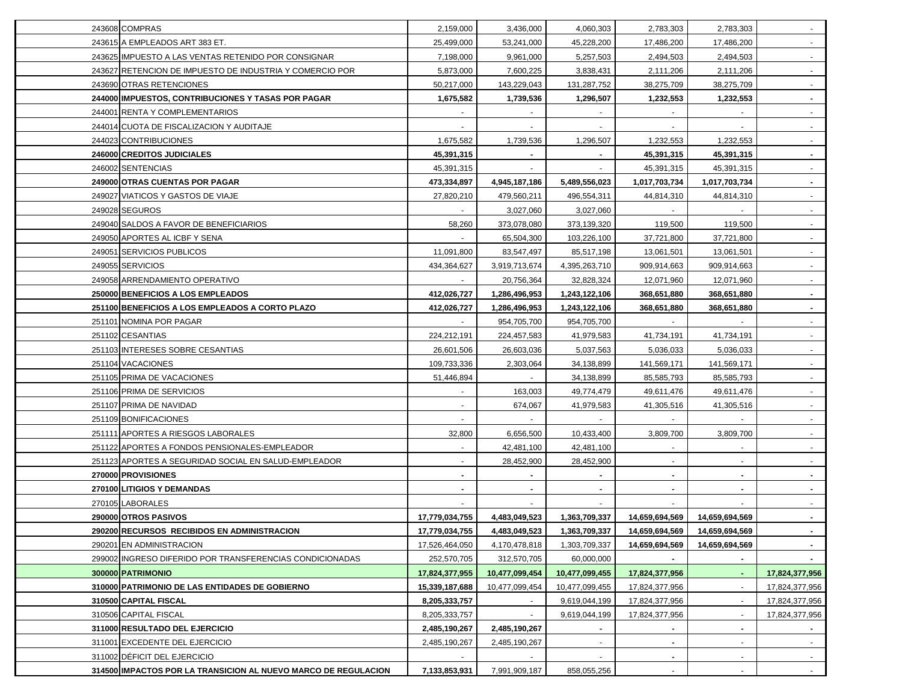| 243608 COMPRAS                                                 | 2,159,000      | 3,436,000      | 4,060,303      | 2,783,303      | 2,783,303      | $\sim$         |
|----------------------------------------------------------------|----------------|----------------|----------------|----------------|----------------|----------------|
| 243615 A EMPLEADOS ART 383 ET.                                 | 25,499,000     | 53,241,000     | 45,228,200     | 17,486,200     | 17,486,200     | $\sim$         |
| 243625 IMPUESTO A LAS VENTAS RETENIDO POR CONSIGNAR            | 7,198,000      | 9,961,000      | 5,257,503      | 2,494,503      | 2,494,503      | $\sim$         |
| 243627 RETENCION DE IMPUESTO DE INDUSTRIA Y COMERCIO POR       | 5,873,000      | 7,600,225      | 3,838,431      | 2,111,206      | 2,111,206      | $\sim$         |
| 243690 OTRAS RETENCIONES                                       | 50,217,000     | 143,229,043    | 131,287,752    | 38,275,709     | 38,275,709     | $\sim$         |
| 244000 IMPUESTOS, CONTRIBUCIONES Y TASAS POR PAGAR             | 1,675,582      | 1,739,536      | 1,296,507      | 1,232,553      | 1,232,553      | $\sim$         |
| 244001 RENTA Y COMPLEMENTARIOS                                 |                |                |                |                |                | $\blacksquare$ |
| 244014 CUOTA DE FISCALIZACION Y AUDITAJE                       |                |                |                |                |                |                |
| 244023 CONTRIBUCIONES                                          | 1,675,582      | 1,739,536      | 1,296,507      | 1,232,553      | 1,232,553      |                |
| 246000 CREDITOS JUDICIALES                                     | 45,391,315     |                |                | 45,391,315     | 45,391,315     | $\sim$         |
| 246002 SENTENCIAS                                              | 45,391,315     |                |                | 45,391,315     | 45,391,315     |                |
| 249000 OTRAS CUENTAS POR PAGAR                                 | 473,334,897    | 4,945,187,186  | 5,489,556,023  | 1,017,703,734  | 1,017,703,734  | $\sim$         |
| 249027 VIATICOS Y GASTOS DE VIAJE                              | 27,820,210     | 479,560,211    | 496,554,311    | 44,814,310     | 44,814,310     | $\sim$         |
| 249028 SEGUROS                                                 |                | 3,027,060      | 3,027,060      |                |                | $\sim$         |
| 249040 SALDOS A FAVOR DE BENEFICIARIOS                         | 58,260         | 373,078,080    | 373,139,320    | 119,500        | 119,500        | $\blacksquare$ |
| 249050 APORTES AL ICBF Y SENA                                  | $\sim$         | 65,504,300     | 103,226,100    | 37,721,800     | 37,721,800     | $\blacksquare$ |
| 249051 SERVICIOS PUBLICOS                                      | 11,091,800     | 83,547,497     | 85,517,198     | 13,061,501     | 13,061,501     | $\blacksquare$ |
| 249055 SERVICIOS                                               | 434,364,627    | 3,919,713,674  | 4,395,263,710  | 909,914,663    | 909,914,663    | $\sim$         |
| 249058 ARRENDAMIENTO OPERATIVO                                 |                | 20,756,364     | 32,828,324     | 12,071,960     | 12,071,960     | $\blacksquare$ |
| 250000 BENEFICIOS A LOS EMPLEADOS                              | 412,026,727    | 1,286,496,953  | 1,243,122,106  | 368,651,880    | 368,651,880    | $\sim$         |
| 251100 BENEFICIOS A LOS EMPLEADOS A CORTO PLAZO                | 412,026,727    | 1,286,496,953  | 1,243,122,106  | 368,651,880    | 368,651,880    | $\sim$         |
| 251101 NOMINA POR PAGAR                                        |                | 954,705,700    | 954,705,700    |                |                | $\sim$         |
| 251102 CESANTIAS                                               | 224,212,191    | 224,457,583    | 41,979,583     | 41,734,191     | 41,734,191     | $\sim$         |
| 251103 INTERESES SOBRE CESANTIAS                               | 26,601,506     | 26,603,036     | 5,037,563      | 5,036,033      | 5,036,033      | $\sim$         |
| 251104 VACACIONES                                              | 109,733,336    | 2,303,064      | 34,138,899     | 141,569,171    | 141,569,171    | $\sim$         |
| 251105 PRIMA DE VACACIONES                                     | 51,446,894     |                | 34,138,899     | 85,585,793     | 85,585,793     | $\sim$         |
| 251106 PRIMA DE SERVICIOS                                      |                | 163,003        | 49,774,479     | 49,611,476     | 49,611,476     | $\sim$         |
| 251107 PRIMA DE NAVIDAD                                        |                | 674,067        | 41,979,583     | 41,305,516     | 41,305,516     | $\sim$         |
| 251109 BONIFICACIONES                                          |                |                |                |                |                | $\sim$         |
| 251111 APORTES A RIESGOS LABORALES                             | 32,800         | 6,656,500      | 10,433,400     | 3,809,700      | 3,809,700      | $\sim$         |
| 251122 APORTES A FONDOS PENSIONALES-EMPLEADOR                  |                | 42,481,100     | 42,481,100     |                |                |                |
| 251123 APORTES A SEGURIDAD SOCIAL EN SALUD-EMPLEADOR           |                | 28,452,900     | 28,452,900     |                | $\sim$         | $\sim$         |
| 270000 PROVISIONES                                             |                |                |                |                |                |                |
|                                                                |                |                |                |                |                |                |
| 270100 LITIGIOS Y DEMANDAS                                     |                |                |                | $\blacksquare$ |                |                |
| 270105 LABORALES                                               |                |                |                |                |                |                |
| 290000 OTROS PASIVOS                                           | 17,779,034,755 | 4,483,049,523  | 1,363,709,337  | 14,659,694,569 | 14,659,694,569 |                |
| 290200 RECURSOS RECIBIDOS EN ADMINISTRACION                    | 17,779,034,755 | 4,483,049,523  | 1,363,709,337  | 14,659,694,569 | 14,659,694,569 | $\sim$         |
| 290201 EN ADMINISTRACION                                       | 17,526,464,050 | 4,170,478,818  | 1,303,709,337  | 14,659,694,569 | 14,659,694,569 |                |
| 299002 INGRESO DIFERIDO POR TRANSFERENCIAS CONDICIONADAS       | 252,570,705    | 312,570,705    | 60,000,000     |                |                |                |
| 300000 PATRIMONIO                                              | 17,824,377,955 | 10,477,099,454 | 10,477,099,455 | 17,824,377,956 | $\blacksquare$ | 17,824,377,956 |
| 310000 PATRIMONIO DE LAS ENTIDADES DE GOBIERNO                 | 15,339,187,688 | 10,477,099,454 | 10,477,099,455 | 17,824,377,956 |                | 17,824,377,956 |
| 310500 CAPITAL FISCAL                                          | 8,205,333,757  |                | 9,619,044,199  | 17,824,377,956 | $\sim$         | 17,824,377,956 |
| 310506 CAPITAL FISCAL                                          | 8,205,333,757  |                | 9,619,044,199  | 17,824,377,956 | $\blacksquare$ | 17,824,377,956 |
| 311000 RESULTADO DEL EJERCICIO                                 | 2,485,190,267  | 2,485,190,267  | $\sim$         |                | $\sim$         |                |
| 311001 EXCEDENTE DEL EJERCICIO                                 | 2,485,190,267  | 2,485,190,267  |                |                |                |                |
| 311002 DEFICIT DEL EJERCICIO                                   |                |                |                | $\blacksquare$ |                | ۰.             |
| 314500 IMPACTOS POR LA TRANSICION AL NUEVO MARCO DE REGULACION | 7,133,853,931  | 7,991,909,187  | 858,055,256    |                |                |                |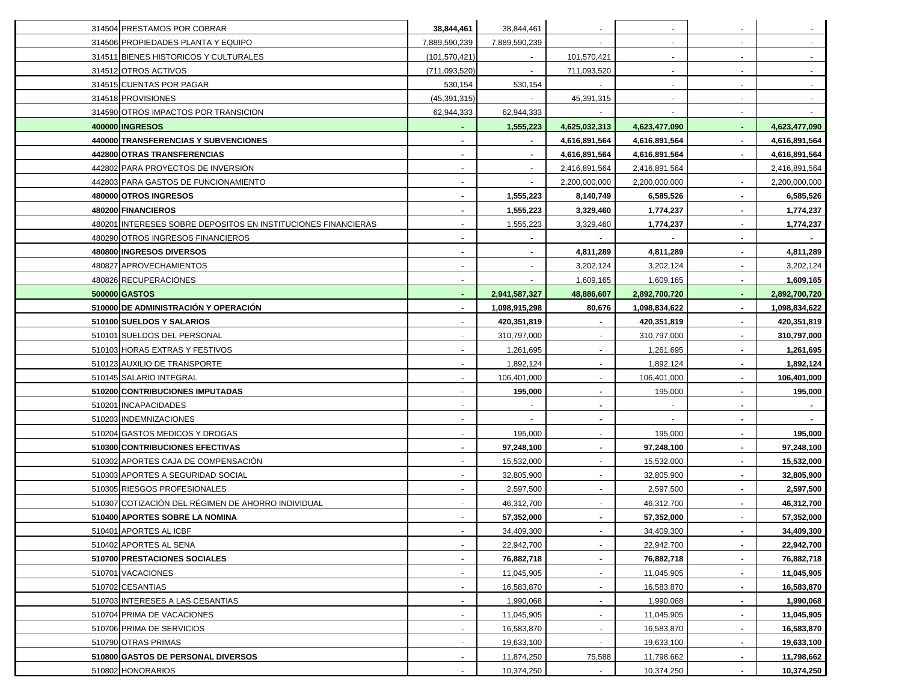| 314504 PRESTAMOS POR COBRAR                                   | 38,844,461               | 38,844,461               |                          |               |                |                |
|---------------------------------------------------------------|--------------------------|--------------------------|--------------------------|---------------|----------------|----------------|
| 314506 PROPIEDADES PLANTA Y EQUIPO                            | 7,889,590,239            | 7,889,590,239            |                          | $\sim$        |                |                |
| 314511 BIENES HISTORICOS Y CULTURALES                         | (101, 570, 421)          | $\sim$                   | 101,570,421              | $\sim$        | $\blacksquare$ | $\blacksquare$ |
| 314512 OTROS ACTIVOS                                          | (711, 093, 520)          | $\sim$                   | 711,093,520              | $\sim$        | $\blacksquare$ | $\sim$         |
| 314515 CUENTAS POR PAGAR                                      | 530,154                  | 530,154                  |                          | $\sim$        |                | $\blacksquare$ |
| 314518 PROVISIONES                                            | (45, 391, 315)           | $\sim$                   | 45,391,315               | $\sim$        |                |                |
| 314590 OTROS IMPACTOS POR TRANSICION                          | 62,944,333               | 62,944,333               |                          |               |                |                |
| 400000 INGRESOS                                               |                          | 1,555,223                | 4,625,032,313            | 4,623,477,090 |                | 4,623,477,090  |
| 440000 TRANSFERENCIAS Y SUBVENCIONES                          |                          |                          | 4,616,891,564            | 4,616,891,564 |                | 4,616,891,564  |
| 442800 OTRAS TRANSFERENCIAS                                   |                          |                          | 4,616,891,564            | 4,616,891,564 |                | 4,616,891,564  |
| 442802 PARA PROYECTOS DE INVERSION                            |                          |                          | 2,416,891,564            | 2,416,891,564 |                | 2,416,891,564  |
| 442803 PARA GASTOS DE FUNCIONAMIENTO                          |                          |                          | 2,200,000,000            | 2,200,000,000 |                | 2,200,000,000  |
| 480000 OTROS INGRESOS                                         |                          | 1,555,223                | 8,140,749                | 6,585,526     |                | 6,585,526      |
| 480200 FINANCIEROS                                            |                          | 1,555,223                | 3,329,460                | 1,774,237     |                | 1,774,237      |
| 480201 INTERESES SOBRE DEPOSITOS EN INSTITUCIONES FINANCIERAS |                          | 1,555,223                | 3,329,460                | 1,774,237     |                | 1,774,237      |
| 480290 OTROS INGRESOS FINANCIEROS                             | $\blacksquare$           | $\overline{\phantom{a}}$ |                          | $\sim$        |                |                |
| 480800 INGRESOS DIVERSOS                                      |                          |                          | 4,811,289                | 4,811,289     |                | 4,811,289      |
| 480827 APROVECHAMIENTOS                                       |                          |                          | 3,202,124                | 3,202,124     |                | 3,202,124      |
| 480826 RECUPERACIONES                                         |                          |                          | 1,609,165                | 1,609,165     |                | 1,609,165      |
| 500000 GASTOS                                                 |                          | 2,941,587,327            | 48,886,607               | 2,892,700,720 |                | 2,892,700,720  |
| 510000 DE ADMINISTRACIÓN Y OPERACIÓN                          |                          | 1,098,915,298            | 80,676                   | 1,098,834,622 |                | 1,098,834,622  |
| 510100 SUELDOS Y SALARIOS                                     |                          | 420,351,819              |                          | 420,351,819   |                | 420,351,819    |
| 510101 SUELDOS DEL PERSONAL                                   |                          | 310,797,000              |                          | 310,797,000   |                | 310,797,000    |
| 510103 HORAS EXTRAS Y FESTIVOS                                |                          | 1,261,695                |                          | 1,261,695     |                | 1,261,695      |
| 510123 AUXILIO DE TRANSPORTE                                  |                          | 1,892,124                | $\overline{\phantom{a}}$ | 1,892,124     |                | 1,892,124      |
| 510145 SALARIO INTEGRAL                                       |                          | 106,401,000              | $\blacksquare$           | 106,401,000   |                | 106,401,000    |
| 510200 CONTRIBUCIONES IMPUTADAS                               | $\overline{\phantom{a}}$ | 195,000                  | ٠                        | 195,000       |                | 195,000        |
| 510201 INCAPACIDADES                                          | $\blacksquare$           | $\sim$                   | ۰.                       | $\sim$        | ٠              |                |
| 510203 INDEMNIZACIONES                                        | $\blacksquare$           | $\sim$                   | ۰.                       | $\sim$        | ٠              | $\sim$         |
| 510204 GASTOS MEDICOS Y DROGAS                                |                          | 195,000                  | $\blacksquare$           | 195,000       |                | 195,000        |
| 510300 CONTRIBUCIONES EFECTIVAS                               |                          | 97,248,100               | ٠                        | 97,248,100    |                | 97,248,100     |
| 510302 APORTES CAJA DE COMPENSACIÓN                           |                          | 15,532,000               | $\blacksquare$           | 15,532,000    |                | 15,532,000     |
| 510303 APORTES A SEGURIDAD SOCIAL                             |                          | 32,805,900               | $\blacksquare$           | 32,805,900    |                | 32,805,900     |
| 510305 RIESGOS PROFESIONALES                                  |                          | 2,597,500                | $\blacksquare$           | 2,597,500     |                | 2,597,500      |
| 510307 COTIZACIÓN DEL RÉGIMEN DE AHORRO INDIVIDUAL            |                          | 46,312,700               |                          | 46,312,700    |                | 46,312,700     |
| 510400 APORTES SOBRE LA NOMINA                                |                          | 57,352,000               |                          | 57,352,000    |                | 57,352,000     |
| 510401 APORTES AL ICBF                                        | $\sim$                   | 34,409,300               | $\sim$                   | 34,409,300    |                | 34,409,300     |
| 510402 APORTES AL SENA                                        | $\blacksquare$           | 22,942,700               |                          | 22,942,700    |                | 22,942,700     |
| 510700 PRESTACIONES SOCIALES                                  | $\blacksquare$           | 76,882,718               |                          | 76,882,718    |                | 76,882,718     |
| 510701 VACACIONES                                             | $\blacksquare$           | 11,045,905               | $\blacksquare$           | 11,045,905    |                | 11,045,905     |
| 510702 CESANTIAS                                              | $\blacksquare$           | 16,583,870               |                          | 16,583,870    |                | 16,583,870     |
| 510703 INTERESES A LAS CESANTIAS                              |                          | 1,990,068                |                          | 1,990,068     |                | 1,990,068      |
| 510704 PRIMA DE VACACIONES                                    |                          | 11,045,905               |                          | 11,045,905    |                | 11,045,905     |
| 510706 PRIMA DE SERVICIOS                                     |                          | 16,583,870               |                          | 16,583,870    |                | 16,583,870     |
| 510790 OTRAS PRIMAS                                           |                          | 19,633,100               |                          | 19,633,100    |                | 19,633,100     |
| 510800 GASTOS DE PERSONAL DIVERSOS                            |                          | 11,874,250               | 75,588                   | 11,798,662    |                | 11,798,662     |
| 510802 HONORARIOS                                             | $\blacksquare$           | 10,374,250               |                          | 10,374,250    |                | 10,374,250     |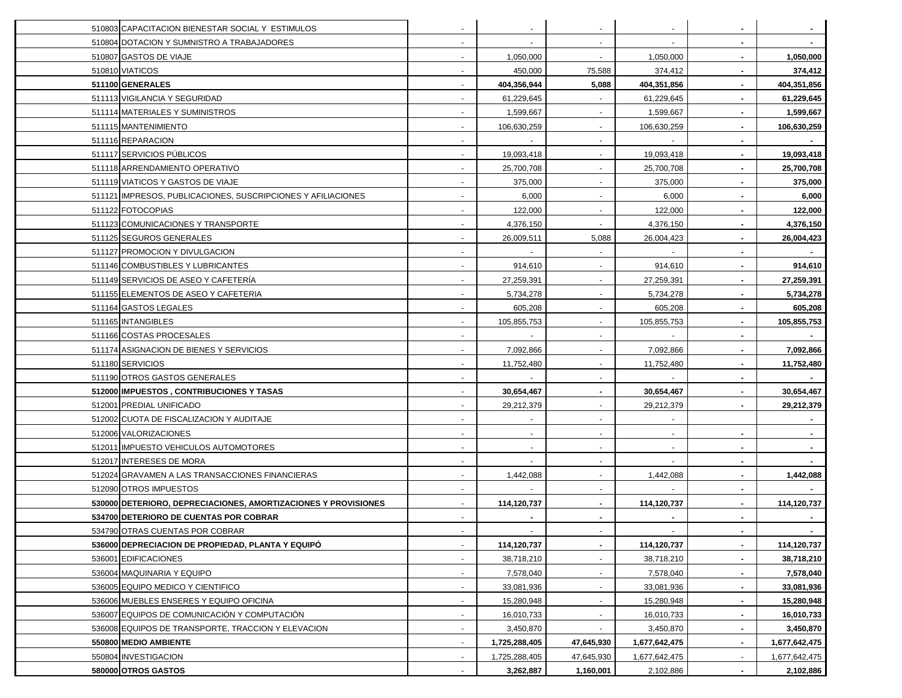| 510803 CAPACITACION BIENESTAR SOCIAL Y ESTIMULOS               |                          |                          |                          |               |                |               |
|----------------------------------------------------------------|--------------------------|--------------------------|--------------------------|---------------|----------------|---------------|
| 510804 DOTACION Y SUMNISTRO A TRABAJADORES                     | ٠                        | $\overline{\phantom{a}}$ | $\blacksquare$           |               |                |               |
| 510807 GASTOS DE VIAJE                                         | $\blacksquare$           | 1,050,000                | $\sim$                   | 1,050,000     | $\blacksquare$ | 1,050,000     |
| 510810 VIATICOS                                                |                          | 450,000                  | 75,588                   | 374,412       | ٠              | 374,412       |
| 511100 GENERALES                                               |                          | 404,356,944              | 5,088                    | 404,351,856   | $\blacksquare$ | 404,351,856   |
| 511113 VIGILANCIA Y SEGURIDAD                                  |                          | 61,229,645               |                          | 61,229,645    |                | 61,229,645    |
| 511114 MATERIALES Y SUMINISTROS                                |                          | 1,599,667                | $\blacksquare$           | 1,599,667     |                | 1,599,667     |
| 511115 MANTENIMIENTO                                           |                          | 106,630,259              |                          | 106,630,259   |                | 106,630,259   |
| 511116 REPARACION                                              |                          |                          | $\blacksquare$           |               |                |               |
| 511117 SERVICIOS PÚBLICOS                                      |                          | 19,093,418               | $\blacksquare$           | 19,093,418    |                | 19,093,418    |
| 511118 ARRENDAMIENTO OPERATIVO                                 |                          | 25,700,708               |                          | 25,700,708    |                | 25,700,708    |
| 511119 VIATICOS Y GASTOS DE VIAJE                              |                          | 375,000                  |                          | 375,000       |                | 375,000       |
| 511121 IMPRESOS, PUBLICACIONES, SUSCRIPCIONES Y AFILIACIONES   | $\blacksquare$           | 6,000                    |                          | 6,000         |                | 6,000         |
| 511122 FOTOCOPIAS                                              |                          | 122,000                  |                          | 122,000       |                | 122,000       |
| 511123 COMUNICACIONES Y TRANSPORTE                             |                          | 4,376,150                |                          | 4,376,150     |                | 4,376,150     |
| 511125 SEGUROS GENERALES                                       | $\blacksquare$           | 26,009,511               | 5,088                    | 26,004,423    |                | 26,004,423    |
| 511127 PROMOCION Y DIVULGACION                                 |                          | $\sim$                   |                          | $\sim$        |                |               |
| 511146 COMBUSTIBLES Y LUBRICANTES                              |                          | 914,610                  | $\blacksquare$           | 914,610       |                | 914,610       |
| 511149 SERVICIOS DE ASEO Y CAFETERIA                           |                          | 27,259,391               | $\mathbf{r}$             | 27,259,391    |                | 27,259,391    |
| 511155 ELEMENTOS DE ASEO Y CAFETERIA                           |                          | 5,734,278                |                          | 5,734,278     |                | 5,734,278     |
| 511164 GASTOS LEGALES                                          |                          | 605,208                  |                          | 605,208       |                | 605,208       |
| 511165 INTANGIBLES                                             |                          | 105,855,753              | $\blacksquare$           | 105,855,753   |                | 105,855,753   |
| 511166 COSTAS PROCESALES                                       |                          |                          | $\blacksquare$           |               |                |               |
| 511174 ASIGNACION DE BIENES Y SERVICIOS                        |                          | 7,092,866                |                          | 7,092,866     |                | 7,092,866     |
| 511180 SERVICIOS                                               |                          | 11,752,480               | $\blacksquare$           | 11,752,480    |                | 11,752,480    |
| 511190 OTROS GASTOS GENERALES                                  |                          |                          | $\overline{\phantom{a}}$ |               | $\blacksquare$ |               |
| 512000 IMPUESTOS, CONTRIBUCIONES Y TASAS                       | $\blacksquare$           | 30,654,467               | ٠                        | 30,654,467    |                | 30,654,467    |
| 512001 PREDIAL UNIFICADO                                       | $\blacksquare$           | 29,212,379               | $\blacksquare$           | 29,212,379    |                | 29,212,379    |
| 512002 CUOTA DE FISCALIZACION Y AUDITAJE                       | $\blacksquare$           | $\sim$                   | $\blacksquare$           | $\sim$        |                |               |
| 512006 VALORIZACIONES                                          | $\blacksquare$           | $\overline{\phantom{a}}$ | $\blacksquare$           | $\sim$        |                |               |
| 512011 IMPUESTO VEHICULOS AUTOMOTORES                          | $\sim$                   | $\sim$                   | $\blacksquare$           | $\sim$        |                |               |
| 512017 INTERESES DE MORA                                       |                          |                          | $\mathbf{r}$             |               |                |               |
| 512024 GRAVAMEN A LAS TRANSACCIONES FINANCIERAS                |                          | 1,442,088                | $\sim$                   | 1,442,088     |                | 1,442,088     |
| 512090 OTROS IMPUESTOS                                         |                          |                          | $\blacksquare$           |               |                |               |
| 530000 DETERIORO, DEPRECIACIONES, AMORTIZACIONES Y PROVISIONES |                          | 114,120,737              | ٠                        | 114,120,737   |                | 114,120,737   |
| 534700 DETERIORO DE CUENTAS POR COBRAR                         |                          |                          |                          |               |                |               |
| 534790 OTRAS CUENTAS POR COBRAR                                | $\overline{\phantom{a}}$ |                          | $\sim$                   |               | $\sim$         |               |
| 536000 DEPRECIACION DE PROPIEDAD, PLANTA Y EQUIPÓ              | $\sim$                   | 114,120,737              | $\blacksquare$           | 114,120,737   |                | 114,120,737   |
| 536001 EDIFICACIONES                                           |                          | 38,718,210               |                          | 38,718,210    |                | 38,718,210    |
| 536004 MAQUINARIA Y EQUIPO                                     | $\blacksquare$           | 7,578,040                |                          | 7,578,040     |                | 7,578,040     |
| 536005 EQUIPO MEDICO Y CIENTIFICO                              | $\blacksquare$           | 33,081,936               |                          | 33,081,936    |                | 33,081,936    |
| 536006 MUEBLES ENSERES Y EQUIPO OFICINA                        |                          | 15,280,948               |                          | 15,280,948    |                | 15,280,948    |
| 536007 EQUIPOS DE COMUNICACIÓN Y COMPUTACIÓN                   |                          | 16,010,733               |                          | 16,010,733    |                | 16,010,733    |
| 536008 EQUIPOS DE TRANSPORTE, TRACCION Y ELEVACION             |                          | 3,450,870                |                          | 3,450,870     |                | 3,450,870     |
| 550800 MEDIO AMBIENTE                                          |                          | 1,725,288,405            | 47,645,930               | 1,677,642,475 |                | 1,677,642,475 |
| 550804 INVESTIGACION                                           |                          | 1,725,288,405            | 47,645,930               | 1,677,642,475 |                | 1,677,642,475 |
| 580000 OTROS GASTOS                                            |                          | 3,262,887                | 1,160,001                | 2,102,886     |                | 2,102,886     |